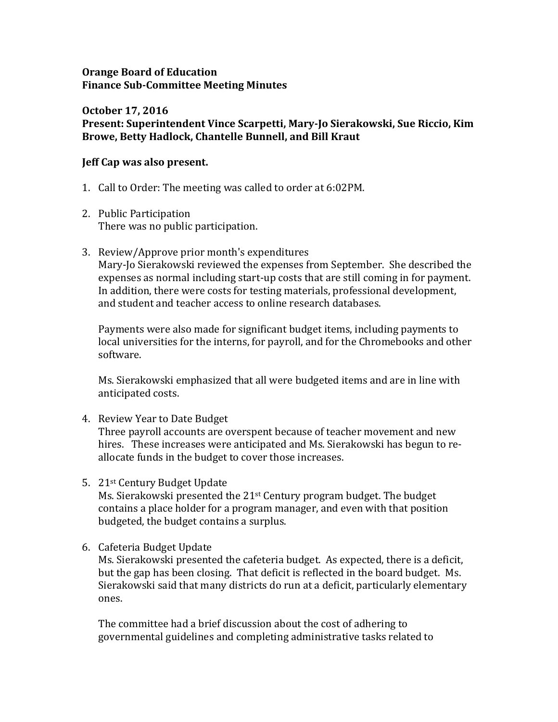#### **Orange Board of Education Finance Sub-Committee Meeting Minutes**

#### **October 17, 2016 Present: Superintendent Vince Scarpetti, Mary-Jo Sierakowski, Sue Riccio, Kim Browe, Betty Hadlock, Chantelle Bunnell, and Bill Kraut**

## **Jeff Cap was also present.**

- 1. Call to Order: The meeting was called to order at 6:02PM.
- 2. Public Participation There was no public participation.
- 3. Review/Approve prior month's expenditures Mary-Jo Sierakowski reviewed the expenses from September. She described the expenses as normal including start-up costs that are still coming in for payment. In addition, there were costs for testing materials, professional development, and student and teacher access to online research databases.

Payments were also made for significant budget items, including payments to local universities for the interns, for payroll, and for the Chromebooks and other software.

Ms. Sierakowski emphasized that all were budgeted items and are in line with anticipated costs.

4. Review Year to Date Budget

Three payroll accounts are overspent because of teacher movement and new hires. These increases were anticipated and Ms. Sierakowski has begun to reallocate funds in the budget to cover those increases.

5. 21st Century Budget Update

Ms. Sierakowski presented the 21st Century program budget. The budget contains a place holder for a program manager, and even with that position budgeted, the budget contains a surplus.

6. Cafeteria Budget Update

Ms. Sierakowski presented the cafeteria budget. As expected, there is a deficit, but the gap has been closing. That deficit is reflected in the board budget. Ms. Sierakowski said that many districts do run at a deficit, particularly elementary ones.

The committee had a brief discussion about the cost of adhering to governmental guidelines and completing administrative tasks related to